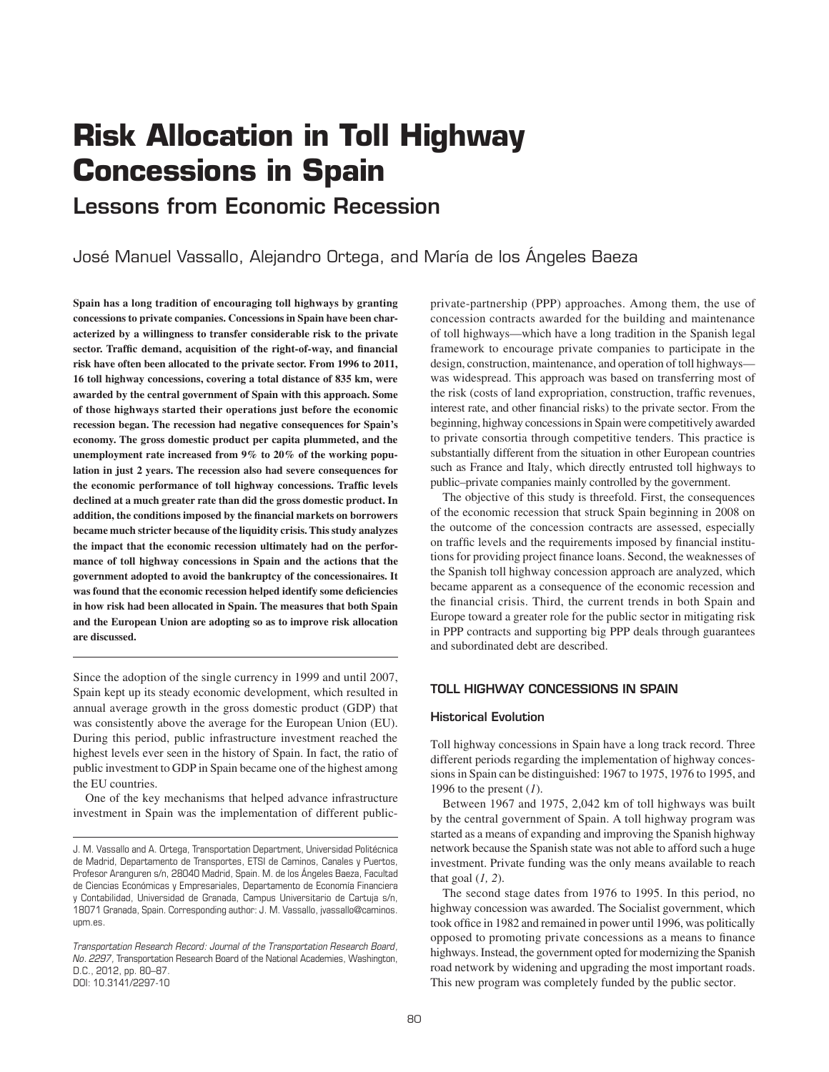# **Risk Allocation in Toll Highway Concessions in Spain**

## Lessons from Economic Recession

### José Manuel Vassallo, Alejandro Ortega, and María de los Ángeles Baeza

**Spain has a long tradition of encouraging toll highways by granting concessions to private companies. Concessions in Spain have been characterized by a willingness to transfer considerable risk to the private sector. Traffic demand, acquisition of the right-of-way, and financial risk have often been allocated to the private sector. From 1996 to 2011, 16 toll highway concessions, covering a total distance of 835 km, were awarded by the central government of Spain with this approach. Some of those highways started their operations just before the economic recession began. The recession had negative consequences for Spain's economy. The gross domestic product per capita plummeted, and the unemployment rate increased from 9% to 20% of the working population in just 2 years. The recession also had severe consequences for the economic performance of toll highway concessions. Traffic levels declined at a much greater rate than did the gross domestic product. In addition, the conditions imposed by the financial markets on borrowers became much stricter because of the liquidity crisis. This study analyzes the impact that the economic recession ultimately had on the performance of toll highway concessions in Spain and the actions that the government adopted to avoid the bankruptcy of the concessionaires. It was found that the economic recession helped identify some deficiencies in how risk had been allocated in Spain. The measures that both Spain and the European Union are adopting so as to improve risk allocation are discussed.**

Since the adoption of the single currency in 1999 and until 2007, Spain kept up its steady economic development, which resulted in annual average growth in the gross domestic product (GDP) that was consistently above the average for the European Union (EU). During this period, public infrastructure investment reached the highest levels ever seen in the history of Spain. In fact, the ratio of public investment to GDP in Spain became one of the highest among the EU countries.

One of the key mechanisms that helped advance infrastructure investment in Spain was the implementation of different public-

private-partnership (PPP) approaches. Among them, the use of concession contracts awarded for the building and maintenance of toll highways—which have a long tradition in the Spanish legal framework to encourage private companies to participate in the design, construction, maintenance, and operation of toll highways was widespread. This approach was based on transferring most of the risk (costs of land expropriation, construction, traffic revenues, interest rate, and other financial risks) to the private sector. From the beginning, highway concessions in Spain were competitively awarded to private consortia through competitive tenders. This practice is substantially different from the situation in other European countries such as France and Italy, which directly entrusted toll highways to public–private companies mainly controlled by the government.

The objective of this study is threefold. First, the consequences of the economic recession that struck Spain beginning in 2008 on the outcome of the concession contracts are assessed, especially on traffic levels and the requirements imposed by financial institutions for providing project finance loans. Second, the weaknesses of the Spanish toll highway concession approach are analyzed, which became apparent as a consequence of the economic recession and the financial crisis. Third, the current trends in both Spain and Europe toward a greater role for the public sector in mitigating risk in PPP contracts and supporting big PPP deals through guarantees and subordinated debt are described.

#### Toll Highway Concessions in Spain

#### Historical Evolution

Toll highway concessions in Spain have a long track record. Three different periods regarding the implementation of highway concessions in Spain can be distinguished: 1967 to 1975, 1976 to 1995, and 1996 to the present (*1*).

Between 1967 and 1975, 2,042 km of toll highways was built by the central government of Spain. A toll highway program was started as a means of expanding and improving the Spanish highway network because the Spanish state was not able to afford such a huge investment. Private funding was the only means available to reach that goal (*1, 2*).

The second stage dates from 1976 to 1995. In this period, no highway concession was awarded. The Socialist government, which took office in 1982 and remained in power until 1996, was politically opposed to promoting private concessions as a means to finance highways. Instead, the government opted for modernizing the Spanish road network by widening and upgrading the most important roads. This new program was completely funded by the public sector.

J. M. Vassallo and A. Ortega, Transportation Department, Universidad Politécnica de Madrid, Departamento de Transportes, ETSI de Caminos, Canales y Puertos, Profesor Aranguren s/n, 28040 Madrid, Spain. M. de los Ángeles Baeza, Facultad de Ciencias Económicas y Empresariales, Departamento de Economía Financiera y Contabilidad, Universidad de Granada, Campus Universitario de Cartuja s/n, 18071 Granada, Spain. Corresponding author: J. M. Vassallo, jvassallo@caminos. upm.es.

Transportation Research Record: Journal of the Transportation Research Board, No. 2297, Transportation Research Board of the National Academies, Washington, D.C., 2012, pp. 80–87. DOI: 10.3141/2297-10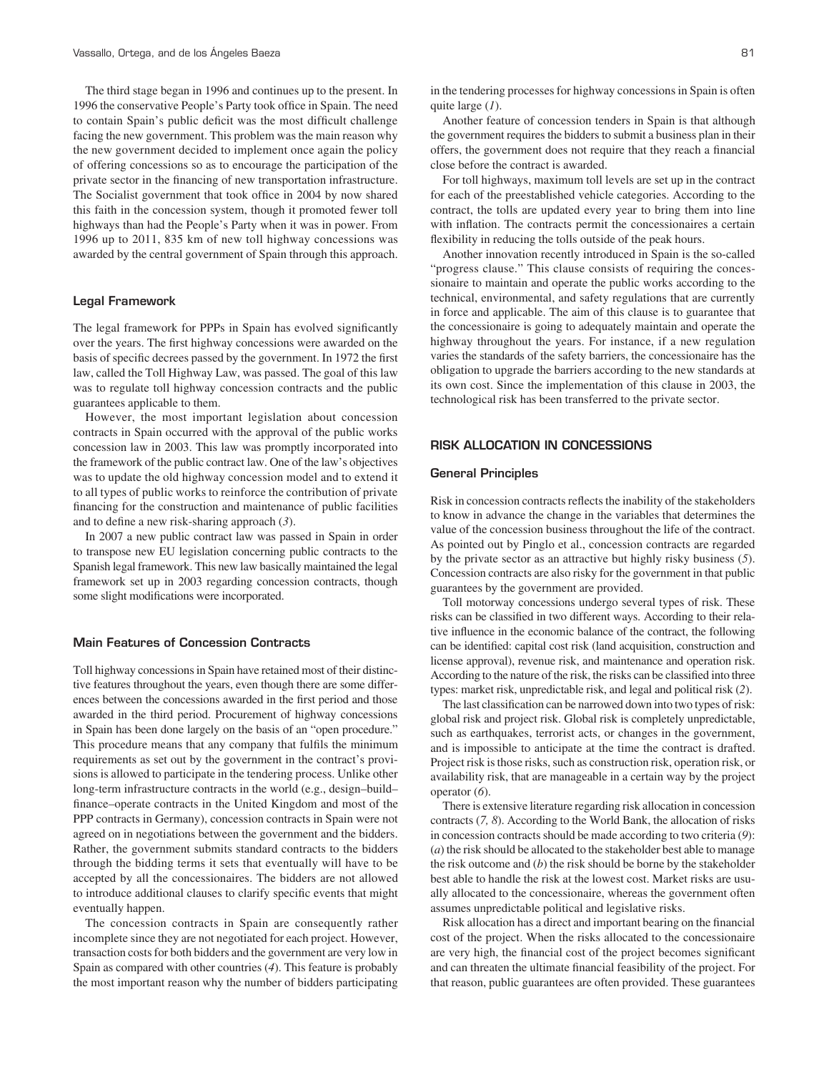The third stage began in 1996 and continues up to the present. In 1996 the conservative People's Party took office in Spain. The need to contain Spain's public deficit was the most difficult challenge facing the new government. This problem was the main reason why the new government decided to implement once again the policy of offering concessions so as to encourage the participation of the private sector in the financing of new transportation infrastructure. The Socialist government that took office in 2004 by now shared this faith in the concession system, though it promoted fewer toll highways than had the People's Party when it was in power. From 1996 up to 2011, 835 km of new toll highway concessions was awarded by the central government of Spain through this approach.

#### Legal Framework

The legal framework for PPPs in Spain has evolved significantly over the years. The first highway concessions were awarded on the basis of specific decrees passed by the government. In 1972 the first law, called the Toll Highway Law, was passed. The goal of this law was to regulate toll highway concession contracts and the public guarantees applicable to them.

However, the most important legislation about concession contracts in Spain occurred with the approval of the public works concession law in 2003. This law was promptly incorporated into the framework of the public contract law. One of the law's objectives was to update the old highway concession model and to extend it to all types of public works to reinforce the contribution of private financing for the construction and maintenance of public facilities and to define a new risk-sharing approach (*3*).

In 2007 a new public contract law was passed in Spain in order to transpose new EU legislation concerning public contracts to the Spanish legal framework. This new law basically maintained the legal framework set up in 2003 regarding concession contracts, though some slight modifications were incorporated.

#### Main Features of Concession Contracts

Toll highway concessions in Spain have retained most of their distinctive features throughout the years, even though there are some differences between the concessions awarded in the first period and those awarded in the third period. Procurement of highway concessions in Spain has been done largely on the basis of an "open procedure." This procedure means that any company that fulfils the minimum requirements as set out by the government in the contract's provisions is allowed to participate in the tendering process. Unlike other long-term infrastructure contracts in the world (e.g., design–build– finance–operate contracts in the United Kingdom and most of the PPP contracts in Germany), concession contracts in Spain were not agreed on in negotiations between the government and the bidders. Rather, the government submits standard contracts to the bidders through the bidding terms it sets that eventually will have to be accepted by all the concessionaires. The bidders are not allowed to introduce additional clauses to clarify specific events that might eventually happen.

The concession contracts in Spain are consequently rather incomplete since they are not negotiated for each project. However, transaction costs for both bidders and the government are very low in Spain as compared with other countries (*4*). This feature is probably the most important reason why the number of bidders participating in the tendering processes for highway concessions in Spain is often quite large (*1*).

Another feature of concession tenders in Spain is that although the government requires the bidders to submit a business plan in their offers, the government does not require that they reach a financial close before the contract is awarded.

For toll highways, maximum toll levels are set up in the contract for each of the preestablished vehicle categories. According to the contract, the tolls are updated every year to bring them into line with inflation. The contracts permit the concessionaires a certain flexibility in reducing the tolls outside of the peak hours.

Another innovation recently introduced in Spain is the so-called "progress clause." This clause consists of requiring the concessionaire to maintain and operate the public works according to the technical, environmental, and safety regulations that are currently in force and applicable. The aim of this clause is to guarantee that the concessionaire is going to adequately maintain and operate the highway throughout the years. For instance, if a new regulation varies the standards of the safety barriers, the concessionaire has the obligation to upgrade the barriers according to the new standards at its own cost. Since the implementation of this clause in 2003, the technological risk has been transferred to the private sector.

#### Risk Allocation in Concessions

#### General Principles

Risk in concession contracts reflects the inability of the stakeholders to know in advance the change in the variables that determines the value of the concession business throughout the life of the contract. As pointed out by Pinglo et al., concession contracts are regarded by the private sector as an attractive but highly risky business (*5*). Concession contracts are also risky for the government in that public guarantees by the government are provided.

Toll motorway concessions undergo several types of risk. These risks can be classified in two different ways. According to their relative influence in the economic balance of the contract, the following can be identified: capital cost risk (land acquisition, construction and license approval), revenue risk, and maintenance and operation risk. According to the nature of the risk, the risks can be classified into three types: market risk, unpredictable risk, and legal and political risk (*2*).

The last classification can be narrowed down into two types of risk: global risk and project risk. Global risk is completely unpredictable, such as earthquakes, terrorist acts, or changes in the government, and is impossible to anticipate at the time the contract is drafted. Project risk is those risks, such as construction risk, operation risk, or availability risk, that are manageable in a certain way by the project operator (*6*).

There is extensive literature regarding risk allocation in concession contracts (*7, 8*). According to the World Bank, the allocation of risks in concession contracts should be made according to two criteria (*9*): (*a*) the risk should be allocated to the stakeholder best able to manage the risk outcome and (*b*) the risk should be borne by the stakeholder best able to handle the risk at the lowest cost. Market risks are usually allocated to the concessionaire, whereas the government often assumes unpredictable political and legislative risks.

Risk allocation has a direct and important bearing on the financial cost of the project. When the risks allocated to the concessionaire are very high, the financial cost of the project becomes significant and can threaten the ultimate financial feasibility of the project. For that reason, public guarantees are often provided. These guarantees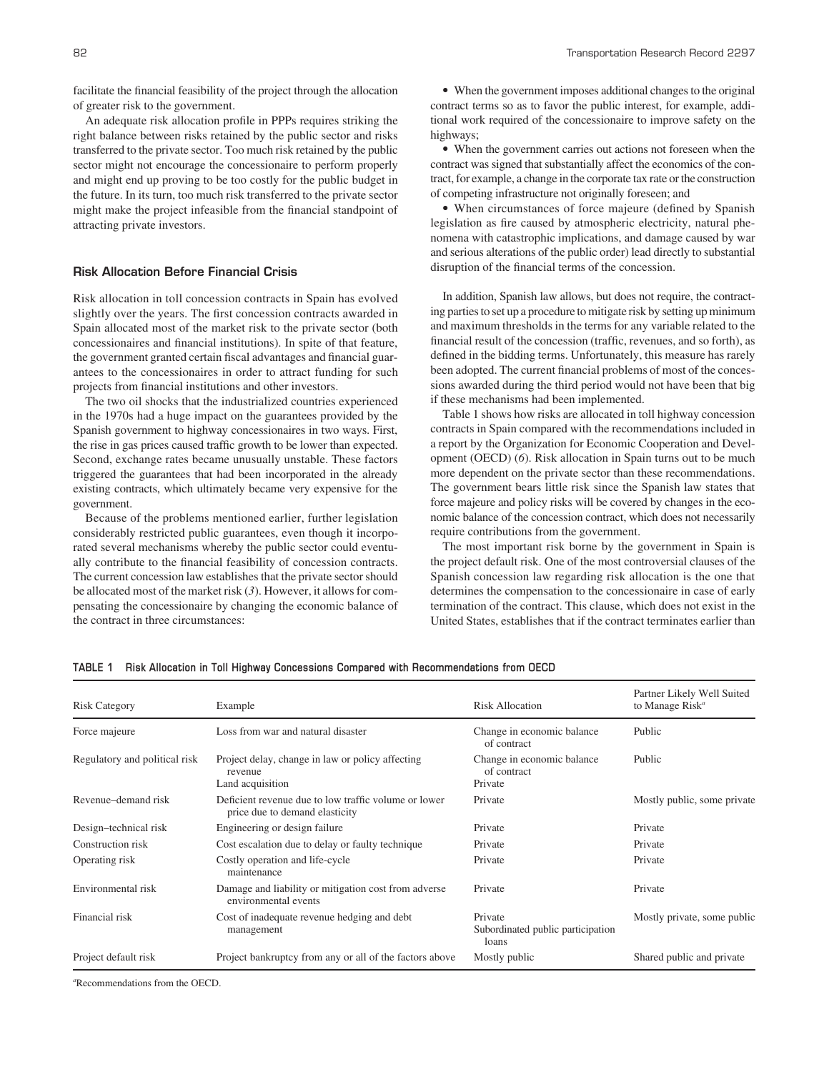facilitate the financial feasibility of the project through the allocation of greater risk to the government.

An adequate risk allocation profile in PPPs requires striking the right balance between risks retained by the public sector and risks transferred to the private sector. Too much risk retained by the public sector might not encourage the concessionaire to perform properly and might end up proving to be too costly for the public budget in the future. In its turn, too much risk transferred to the private sector might make the project infeasible from the financial standpoint of attracting private investors.

#### Risk Allocation Before Financial Crisis

Risk allocation in toll concession contracts in Spain has evolved slightly over the years. The first concession contracts awarded in Spain allocated most of the market risk to the private sector (both concessionaires and financial institutions). In spite of that feature, the government granted certain fiscal advantages and financial guarantees to the concessionaires in order to attract funding for such projects from financial institutions and other investors.

The two oil shocks that the industrialized countries experienced in the 1970s had a huge impact on the guarantees provided by the Spanish government to highway concessionaires in two ways. First, the rise in gas prices caused traffic growth to be lower than expected. Second, exchange rates became unusually unstable. These factors triggered the guarantees that had been incorporated in the already existing contracts, which ultimately became very expensive for the government.

Because of the problems mentioned earlier, further legislation considerably restricted public guarantees, even though it incorporated several mechanisms whereby the public sector could eventually contribute to the financial feasibility of concession contracts. The current concession law establishes that the private sector should be allocated most of the market risk (*3*). However, it allows for compensating the concessionaire by changing the economic balance of the contract in three circumstances:

• When the government imposes additional changes to the original contract terms so as to favor the public interest, for example, additional work required of the concessionaire to improve safety on the highways;

• When the government carries out actions not foreseen when the contract was signed that substantially affect the economics of the contract, for example, a change in the corporate tax rate or the construction of competing infrastructure not originally foreseen; and

• When circumstances of force majeure (defined by Spanish legislation as fire caused by atmospheric electricity, natural phenomena with catastrophic implications, and damage caused by war and serious alterations of the public order) lead directly to substantial disruption of the financial terms of the concession.

In addition, Spanish law allows, but does not require, the contracting parties to set up a procedure to mitigate risk by setting up minimum and maximum thresholds in the terms for any variable related to the financial result of the concession (traffic, revenues, and so forth), as defined in the bidding terms. Unfortunately, this measure has rarely been adopted. The current financial problems of most of the concessions awarded during the third period would not have been that big if these mechanisms had been implemented.

Table 1 shows how risks are allocated in toll highway concession contracts in Spain compared with the recommendations included in a report by the Organization for Economic Cooperation and Development (OECD) (*6*). Risk allocation in Spain turns out to be much more dependent on the private sector than these recommendations. The government bears little risk since the Spanish law states that force majeure and policy risks will be covered by changes in the economic balance of the concession contract, which does not necessarily require contributions from the government.

The most important risk borne by the government in Spain is the project default risk. One of the most controversial clauses of the Spanish concession law regarding risk allocation is the one that determines the compensation to the concessionaire in case of early termination of the contract. This clause, which does not exist in the United States, establishes that if the contract terminates earlier than

| <b>Risk Category</b>          | Example                                                                                | <b>Risk Allocation</b>                                | Partner Likely Well Suited<br>to Manage Risk <sup>a</sup><br>Public |  |
|-------------------------------|----------------------------------------------------------------------------------------|-------------------------------------------------------|---------------------------------------------------------------------|--|
| Force majeure                 | Loss from war and natural disaster                                                     | Change in economic balance<br>of contract             |                                                                     |  |
| Regulatory and political risk | Project delay, change in law or policy affecting<br>revenue<br>Land acquisition        | Change in economic balance<br>of contract<br>Private  |                                                                     |  |
| Revenue-demand risk           | Deficient revenue due to low traffic volume or lower<br>price due to demand elasticity | Private                                               | Mostly public, some private                                         |  |
| Design-technical risk         | Engineering or design failure                                                          | Private                                               | Private                                                             |  |
| Construction risk             | Cost escalation due to delay or faulty technique                                       | Private                                               | Private                                                             |  |
| Operating risk                | Costly operation and life-cycle<br>maintenance                                         | Private                                               | Private                                                             |  |
| Environmental risk            | Damage and liability or mitigation cost from adverse<br>environmental events           | Private                                               | Private                                                             |  |
| Financial risk                | Cost of inadequate revenue hedging and debt<br>management                              | Private<br>Subordinated public participation<br>loans | Mostly private, some public                                         |  |
| Project default risk          | Project bankruptcy from any or all of the factors above                                | Mostly public                                         | Shared public and private                                           |  |

**TABLE 1 Risk Allocation in Toll Highway Concessions Compared with Recommendations from OECD**

*a* Recommendations from the OECD.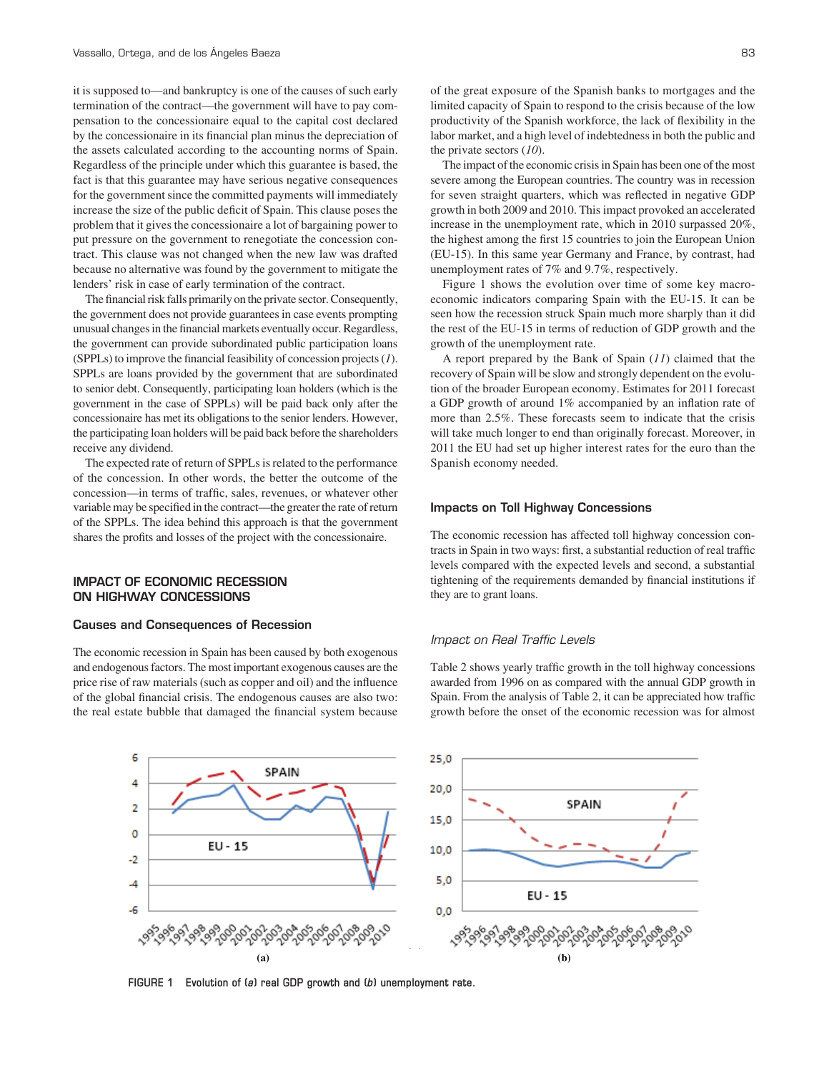it is supposed to—and bankruptcy is one of the causes of such early termination of the contract—the government will have to pay compensation to the concessionaire equal to the capital cost declared by the concessionaire in its financial plan minus the depreciation of the assets calculated according to the accounting norms of Spain. Regardless of the principle under which this guarantee is based, the fact is that this guarantee may have serious negative consequences for the government since the committed payments will immediately increase the size of the public deficit of Spain. This clause poses the problem that it gives the concessionaire a lot of bargaining power to put pressure on the government to renegotiate the concession contract. This clause was not changed when the new law was drafted because no alternative was found by the government to mitigate the lenders' risk in case of early termination of the contract.

The financial risk falls primarily on the private sector. Consequently, the government does not provide guarantees in case events prompting unusual changes in the financial markets eventually occur. Regardless, the government can provide subordinated public participation loans (SPPLs) to improve the financial feasibility of concession projects (*1*). SPPLs are loans provided by the government that are subordinated to senior debt. Consequently, participating loan holders (which is the government in the case of SPPLs) will be paid back only after the concessionaire has met its obligations to the senior lenders. However, the participating loan holders will be paid back before the shareholders receive any dividend.

The expected rate of return of SPPLs is related to the performance of the concession. In other words, the better the outcome of the concession—in terms of traffic, sales, revenues, or whatever other variable may be specified in the contract—the greater the rate of return of the SPPLs. The idea behind this approach is that the government shares the profits and losses of the project with the concessionaire.

#### Impact of Economic Recession on Highway Concessions

#### Causes and Consequences of Recession

The economic recession in Spain has been caused by both exogenous and endogenous factors. The most important exogenous causes are the price rise of raw materials (such as copper and oil) and the influence of the global financial crisis. The endogenous causes are also two: the real estate bubble that damaged the financial system because

of the great exposure of the Spanish banks to mortgages and the limited capacity of Spain to respond to the crisis because of the low productivity of the Spanish workforce, the lack of flexibility in the labor market, and a high level of indebtedness in both the public and the private sectors (*10*).

The impact of the economic crisis in Spain has been one of the most severe among the European countries. The country was in recession for seven straight quarters, which was reflected in negative GDP growth in both 2009 and 2010. This impact provoked an accelerated increase in the unemployment rate, which in 2010 surpassed 20%, the highest among the first 15 countries to join the European Union (EU-15). In this same year Germany and France, by contrast, had unemployment rates of 7% and 9.7%, respectively.

Figure 1 shows the evolution over time of some key macroeconomic indicators comparing Spain with the EU-15. It can be seen how the recession struck Spain much more sharply than it did the rest of the EU-15 in terms of reduction of GDP growth and the growth of the unemployment rate.

A report prepared by the Bank of Spain (*11*) claimed that the recovery of Spain will be slow and strongly dependent on the evolution of the broader European economy. Estimates for 2011 forecast a GDP growth of around 1% accompanied by an inflation rate of more than 2.5%. These forecasts seem to indicate that the crisis will take much longer to end than originally forecast. Moreover, in 2011 the EU had set up higher interest rates for the euro than the Spanish economy needed.

#### Impacts on Toll Highway Concessions

The economic recession has affected toll highway concession contracts in Spain in two ways: first, a substantial reduction of real traffic levels compared with the expected levels and second, a substantial tightening of the requirements demanded by financial institutions if they are to grant loans.

#### *Impact on Real Traffic Levels*

Table 2 shows yearly traffic growth in the toll highway concessions awarded from 1996 on as compared with the annual GDP growth in Spain. From the analysis of Table 2, it can be appreciated how traffic growth before the onset of the economic recession was for almost



**FIGURE 1 Evolution of (***a***) real GDP growth and (***b***) unemployment rate.**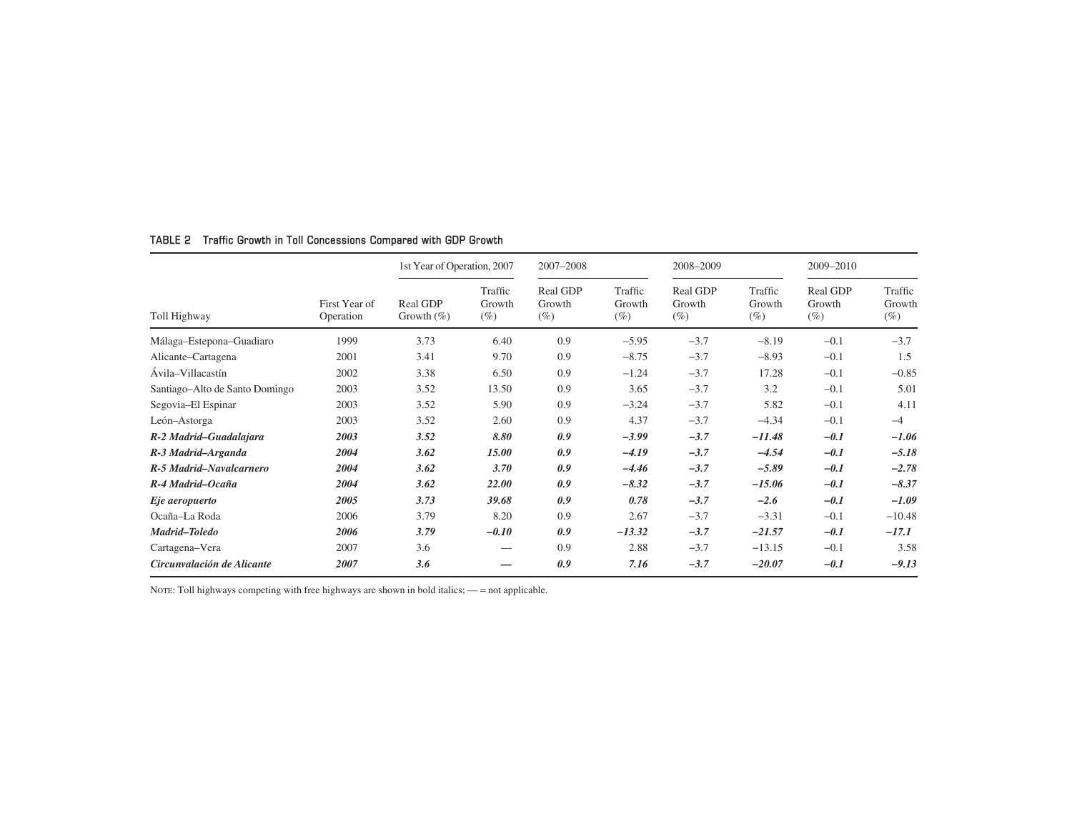| Toll Highway                   | First Year of<br>Operation | 1st Year of Operation, 2007 |                                | 2007-2008                 |                             | 2008-2009                 |                             | 2009-2010                 |                             |
|--------------------------------|----------------------------|-----------------------------|--------------------------------|---------------------------|-----------------------------|---------------------------|-----------------------------|---------------------------|-----------------------------|
|                                |                            | Real GDP<br>Growth $(\%)$   | Traffic<br>Growth<br>(%)       | Real GDP<br>Growth<br>(%) | Traffic<br>Growth<br>$(\%)$ | Real GDP<br>Growth<br>(%) | Traffic<br>Growth<br>$(\%)$ | Real GDP<br>Growth<br>(%) | Traffic<br>Growth<br>$(\%)$ |
| Málaga-Estepona-Guadiaro       | 1999                       | 3.73                        | 6.40                           | 0.9                       | $-5.95$                     | $-3.7$                    | $-8.19$                     | $-0.1$                    | $-3.7$                      |
| Alicante-Cartagena             | 2001                       | 3.41                        | 9.70                           | 0.9                       | $-8.75$                     | $-3.7$                    | $-8.93$                     | $-0.1$                    | 1.5                         |
| Ávila–Villacastín              | 2002                       | 3.38                        | 6.50                           | 0.9                       | $-1.24$                     | $-3.7$                    | 17.28                       | $-0.1$                    | $-0.85$                     |
| Santiago-Alto de Santo Domingo | 2003                       | 3.52                        | 13.50                          | 0.9                       | 3.65                        | $-3.7$                    | 3.2                         | $-0.1$                    | 5.01                        |
| Segovia-El Espinar             | 2003                       | 3.52                        | 5.90                           | 0.9                       | $-3.24$                     | $-3.7$                    | 5.82                        | $-0.1$                    | 4.11                        |
| León-Astorga                   | 2003                       | 3.52                        | 2.60                           | 0.9                       | 4.37                        | $-3.7$                    | $-4.34$                     | $-0.1$                    | $-4$                        |
| R-2 Madrid-Guadalajara         | 2003                       | 3.52                        | 8.80                           | 0.9                       | $-3.99$                     | $-3.7$                    | $-11.48$                    | $-0.1$                    | $-1.06$                     |
| R-3 Madrid-Arganda             | 2004                       | 3.62                        | 15.00                          | 0.9                       | $-4.19$                     | $-3.7$                    | $-4.54$                     | $-0.1$                    | $-5.18$                     |
| R-5 Madrid-Navalcarnero        | 2004                       | 3.62                        | 3.70                           | 0.9                       | $-4.46$                     | $-3.7$                    | $-5.89$                     | $-0.1$                    | $-2.78$                     |
| R-4 Madrid-Ocaña               | 2004                       | 3.62                        | 22.00                          | 0.9                       | $-8.32$                     | $-3.7$                    | $-15.06$                    | $-0.1$                    | $-8.37$                     |
| Eje aeropuerto                 | 2005                       | 3.73                        | 39.68                          | 0.9                       | 0.78                        | $-3.7$                    | $-2.6$                      | $-0.1$                    | $-1.09$                     |
| Ocaña-La Roda                  | 2006                       | 3.79                        | 8.20                           | 0.9                       | 2.67                        | $-3.7$                    | $-3.31$                     | $-0.1$                    | $-10.48$                    |
| Madrid-Toledo                  | 2006                       | 3.79                        | $-0.10$                        | 0.9                       | $-13.32$                    | $-3.7$                    | $-21.57$                    | $-0.1$                    | -17.1                       |
| Cartagena-Vera                 | 2007                       | 3.6                         | $\overbrace{\hspace{25mm}}^{}$ | 0.9                       | 2.88                        | $-3.7$                    | $-13.15$                    | $-0.1$                    | 3.58                        |
| Circunvalación de Alicante     | 2007                       | 3.6                         |                                | 0.9                       | 7.16                        | $-3.7$                    | $-20.07$                    | $-0.1$                    | $-9.13$                     |

#### **TABLE 2 Traffic Growth in Toll Concessions Compared with GDP Growth**

NOTE: Toll highways competing with free highways are shown in bold italics; — = not applicable.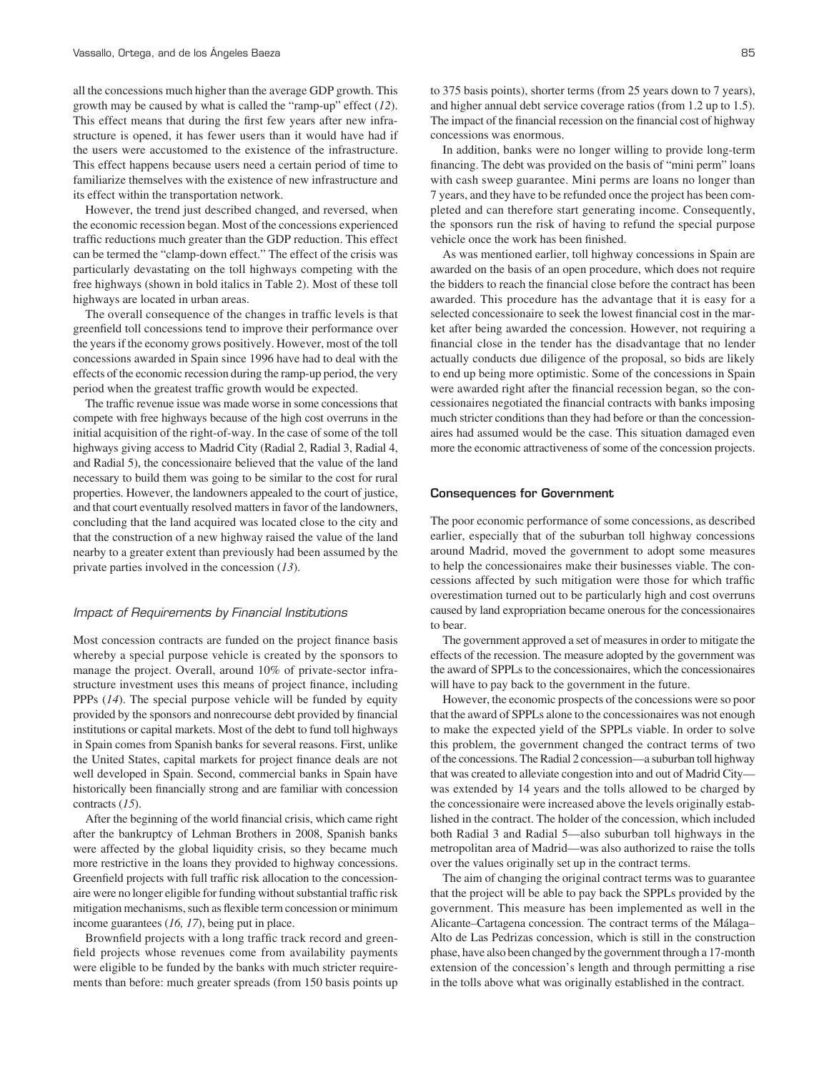all the concessions much higher than the average GDP growth. This growth may be caused by what is called the "ramp-up" effect (*12*). This effect means that during the first few years after new infrastructure is opened, it has fewer users than it would have had if the users were accustomed to the existence of the infrastructure. This effect happens because users need a certain period of time to familiarize themselves with the existence of new infrastructure and its effect within the transportation network.

However, the trend just described changed, and reversed, when the economic recession began. Most of the concessions experienced traffic reductions much greater than the GDP reduction. This effect can be termed the "clamp-down effect." The effect of the crisis was particularly devastating on the toll highways competing with the free highways (shown in bold italics in Table 2). Most of these toll highways are located in urban areas.

The overall consequence of the changes in traffic levels is that greenfield toll concessions tend to improve their performance over the years if the economy grows positively. However, most of the toll concessions awarded in Spain since 1996 have had to deal with the effects of the economic recession during the ramp-up period, the very period when the greatest traffic growth would be expected.

The traffic revenue issue was made worse in some concessions that compete with free highways because of the high cost overruns in the initial acquisition of the right-of-way. In the case of some of the toll highways giving access to Madrid City (Radial 2, Radial 3, Radial 4, and Radial 5), the concessionaire believed that the value of the land necessary to build them was going to be similar to the cost for rural properties. However, the landowners appealed to the court of justice, and that court eventually resolved matters in favor of the landowners, concluding that the land acquired was located close to the city and that the construction of a new highway raised the value of the land nearby to a greater extent than previously had been assumed by the private parties involved in the concession (*13*).

#### *Impact of Requirements by Financial Institutions*

Most concession contracts are funded on the project finance basis whereby a special purpose vehicle is created by the sponsors to manage the project. Overall, around 10% of private-sector infrastructure investment uses this means of project finance, including PPPs (*14*). The special purpose vehicle will be funded by equity provided by the sponsors and nonrecourse debt provided by financial institutions or capital markets. Most of the debt to fund toll highways in Spain comes from Spanish banks for several reasons. First, unlike the United States, capital markets for project finance deals are not well developed in Spain. Second, commercial banks in Spain have historically been financially strong and are familiar with concession contracts (*15*).

After the beginning of the world financial crisis, which came right after the bankruptcy of Lehman Brothers in 2008, Spanish banks were affected by the global liquidity crisis, so they became much more restrictive in the loans they provided to highway concessions. Greenfield projects with full traffic risk allocation to the concessionaire were no longer eligible for funding without substantial traffic risk mitigation mechanisms, such as flexible term concession or minimum income guarantees (*16, 17*), being put in place.

Brownfield projects with a long traffic track record and greenfield projects whose revenues come from availability payments were eligible to be funded by the banks with much stricter requirements than before: much greater spreads (from 150 basis points up to 375 basis points), shorter terms (from 25 years down to 7 years), and higher annual debt service coverage ratios (from 1.2 up to 1.5). The impact of the financial recession on the financial cost of highway concessions was enormous.

In addition, banks were no longer willing to provide long-term financing. The debt was provided on the basis of "mini perm" loans with cash sweep guarantee. Mini perms are loans no longer than 7 years, and they have to be refunded once the project has been completed and can therefore start generating income. Consequently, the sponsors run the risk of having to refund the special purpose vehicle once the work has been finished.

As was mentioned earlier, toll highway concessions in Spain are awarded on the basis of an open procedure, which does not require the bidders to reach the financial close before the contract has been awarded. This procedure has the advantage that it is easy for a selected concessionaire to seek the lowest financial cost in the market after being awarded the concession. However, not requiring a financial close in the tender has the disadvantage that no lender actually conducts due diligence of the proposal, so bids are likely to end up being more optimistic. Some of the concessions in Spain were awarded right after the financial recession began, so the concessionaires negotiated the financial contracts with banks imposing much stricter conditions than they had before or than the concessionaires had assumed would be the case. This situation damaged even more the economic attractiveness of some of the concession projects.

#### Consequences for Government

The poor economic performance of some concessions, as described earlier, especially that of the suburban toll highway concessions around Madrid, moved the government to adopt some measures to help the concessionaires make their businesses viable. The concessions affected by such mitigation were those for which traffic overestimation turned out to be particularly high and cost overruns caused by land expropriation became onerous for the concessionaires to bear.

The government approved a set of measures in order to mitigate the effects of the recession. The measure adopted by the government was the award of SPPLs to the concessionaires, which the concessionaires will have to pay back to the government in the future.

However, the economic prospects of the concessions were so poor that the award of SPPLs alone to the concessionaires was not enough to make the expected yield of the SPPLs viable. In order to solve this problem, the government changed the contract terms of two of the concessions. The Radial 2 concession—a suburban toll highway that was created to alleviate congestion into and out of Madrid City was extended by 14 years and the tolls allowed to be charged by the concessionaire were increased above the levels originally established in the contract. The holder of the concession, which included both Radial 3 and Radial 5—also suburban toll highways in the metropolitan area of Madrid—was also authorized to raise the tolls over the values originally set up in the contract terms.

The aim of changing the original contract terms was to guarantee that the project will be able to pay back the SPPLs provided by the government. This measure has been implemented as well in the Alicante–Cartagena concession. The contract terms of the Málaga– Alto de Las Pedrizas concession, which is still in the construction phase, have also been changed by the government through a 17-month extension of the concession's length and through permitting a rise in the tolls above what was originally established in the contract.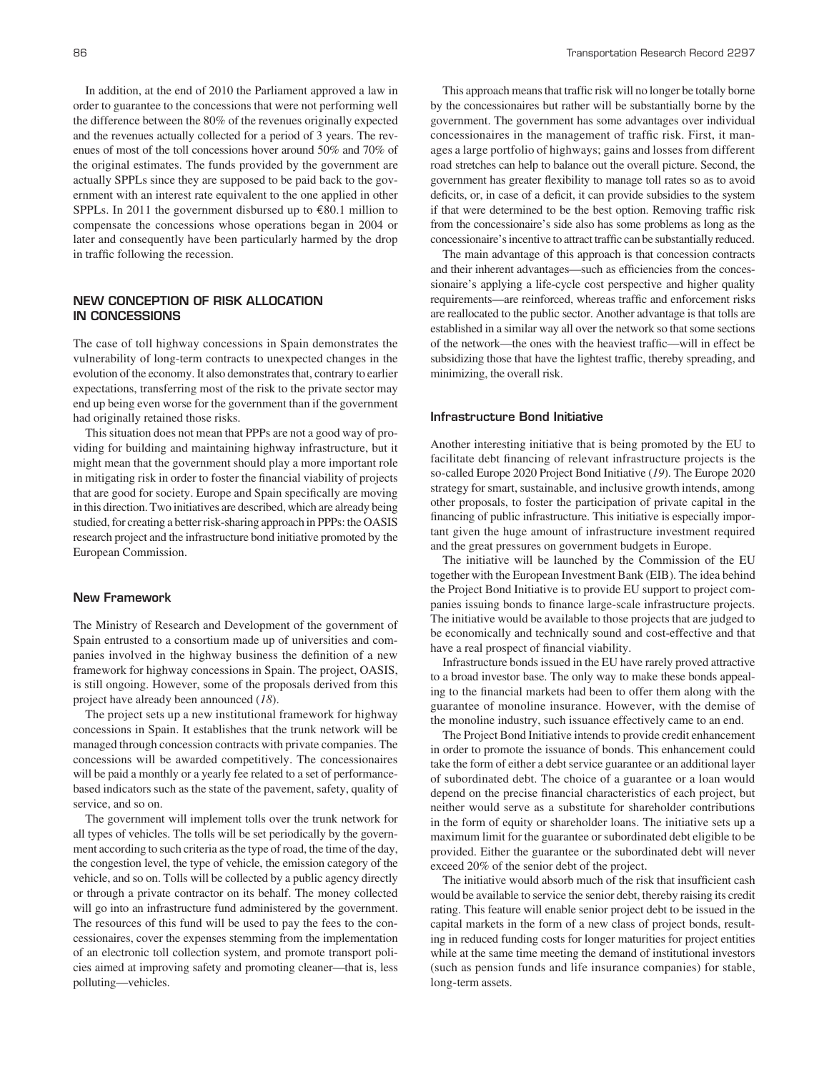In addition, at the end of 2010 the Parliament approved a law in order to guarantee to the concessions that were not performing well the difference between the 80% of the revenues originally expected and the revenues actually collected for a period of 3 years. The revenues of most of the toll concessions hover around 50% and 70% of the original estimates. The funds provided by the government are actually SPPLs since they are supposed to be paid back to the government with an interest rate equivalent to the one applied in other SPPLs. In 2011 the government disbursed up to  $\epsilon$ 80.1 million to compensate the concessions whose operations began in 2004 or later and consequently have been particularly harmed by the drop in traffic following the recession.

#### New Conception of Risk Allocation in Concessions

The case of toll highway concessions in Spain demonstrates the vulnerability of long-term contracts to unexpected changes in the evolution of the economy. It also demonstrates that, contrary to earlier expectations, transferring most of the risk to the private sector may end up being even worse for the government than if the government had originally retained those risks.

This situation does not mean that PPPs are not a good way of providing for building and maintaining highway infrastructure, but it might mean that the government should play a more important role in mitigating risk in order to foster the financial viability of projects that are good for society. Europe and Spain specifically are moving in this direction. Two initiatives are described, which are already being studied, for creating a better risk-sharing approach in PPPs: the OASIS research project and the infrastructure bond initiative promoted by the European Commission.

#### New Framework

The Ministry of Research and Development of the government of Spain entrusted to a consortium made up of universities and companies involved in the highway business the definition of a new framework for highway concessions in Spain. The project, OASIS, is still ongoing. However, some of the proposals derived from this project have already been announced (*18*).

The project sets up a new institutional framework for highway concessions in Spain. It establishes that the trunk network will be managed through concession contracts with private companies. The concessions will be awarded competitively. The concessionaires will be paid a monthly or a yearly fee related to a set of performancebased indicators such as the state of the pavement, safety, quality of service, and so on.

The government will implement tolls over the trunk network for all types of vehicles. The tolls will be set periodically by the government according to such criteria as the type of road, the time of the day, the congestion level, the type of vehicle, the emission category of the vehicle, and so on. Tolls will be collected by a public agency directly or through a private contractor on its behalf. The money collected will go into an infrastructure fund administered by the government. The resources of this fund will be used to pay the fees to the concessionaires, cover the expenses stemming from the implementation of an electronic toll collection system, and promote transport policies aimed at improving safety and promoting cleaner—that is, less polluting—vehicles.

This approach means that traffic risk will no longer be totally borne by the concessionaires but rather will be substantially borne by the government. The government has some advantages over individual concessionaires in the management of traffic risk. First, it manages a large portfolio of highways; gains and losses from different road stretches can help to balance out the overall picture. Second, the government has greater flexibility to manage toll rates so as to avoid deficits, or, in case of a deficit, it can provide subsidies to the system if that were determined to be the best option. Removing traffic risk from the concessionaire's side also has some problems as long as the concessionaire's incentive to attract traffic can be substantially reduced.

The main advantage of this approach is that concession contracts and their inherent advantages—such as efficiencies from the concessionaire's applying a life-cycle cost perspective and higher quality requirements—are reinforced, whereas traffic and enforcement risks are reallocated to the public sector. Another advantage is that tolls are established in a similar way all over the network so that some sections of the network—the ones with the heaviest traffic—will in effect be subsidizing those that have the lightest traffic, thereby spreading, and minimizing, the overall risk.

#### Infrastructure Bond Initiative

Another interesting initiative that is being promoted by the EU to facilitate debt financing of relevant infrastructure projects is the so-called Europe 2020 Project Bond Initiative (*19*). The Europe 2020 strategy for smart, sustainable, and inclusive growth intends, among other proposals, to foster the participation of private capital in the financing of public infrastructure. This initiative is especially important given the huge amount of infrastructure investment required and the great pressures on government budgets in Europe.

The initiative will be launched by the Commission of the EU together with the European Investment Bank (EIB). The idea behind the Project Bond Initiative is to provide EU support to project companies issuing bonds to finance large-scale infrastructure projects. The initiative would be available to those projects that are judged to be economically and technically sound and cost-effective and that have a real prospect of financial viability.

Infrastructure bonds issued in the EU have rarely proved attractive to a broad investor base. The only way to make these bonds appealing to the financial markets had been to offer them along with the guarantee of monoline insurance. However, with the demise of the monoline industry, such issuance effectively came to an end.

The Project Bond Initiative intends to provide credit enhancement in order to promote the issuance of bonds. This enhancement could take the form of either a debt service guarantee or an additional layer of subordinated debt. The choice of a guarantee or a loan would depend on the precise financial characteristics of each project, but neither would serve as a substitute for shareholder contributions in the form of equity or shareholder loans. The initiative sets up a maximum limit for the guarantee or subordinated debt eligible to be provided. Either the guarantee or the subordinated debt will never exceed 20% of the senior debt of the project.

The initiative would absorb much of the risk that insufficient cash would be available to service the senior debt, thereby raising its credit rating. This feature will enable senior project debt to be issued in the capital markets in the form of a new class of project bonds, resulting in reduced funding costs for longer maturities for project entities while at the same time meeting the demand of institutional investors (such as pension funds and life insurance companies) for stable, long-term assets.